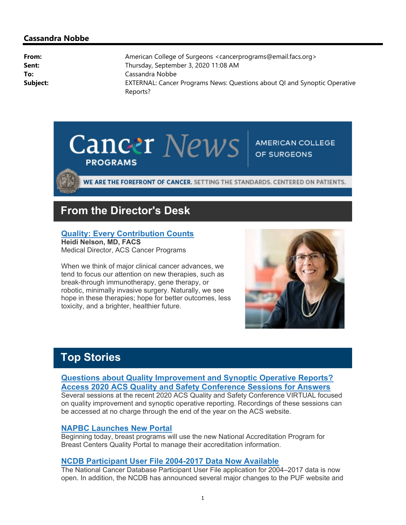### Cassandra Nobbe

| From:    | American College of Surgeons <cancerprograms@email.facs.org></cancerprograms@email.facs.org> |
|----------|----------------------------------------------------------------------------------------------|
| Sent:    | Thursday, September 3, 2020 11:08 AM                                                         |
| To:      | Cassandra Nobbe                                                                              |
| Subject: | EXTERNAL: Cancer Programs News: Questions about QI and Synoptic Operative                    |
|          | Reports?                                                                                     |

## Cancer News **PROGRAMS**

### AMERICAN COLLEGE OF SURGEONS

WE ARE THE FOREFRONT OF CANCER. SETTING THE STANDARDS. CENTERED ON PATIENTS.

### From the Director's Desk

### Quality: Every Contribution Counts

Heidi Nelson, MD, FACS Medical Director, ACS Cancer Programs

When we think of major clinical cancer advances, we tend to focus our attention on new therapies, such as break-through immunotherapy, gene therapy, or robotic, minimally invasive surgery. Naturally, we see hope in these therapies; hope for better outcomes, less toxicity, and a brighter, healthier future.



### Top Stories

### Questions about Quality Improvement and Synoptic Operative Reports? Access 2020 ACS Quality and Safety Conference Sessions for Answers

Several sessions at the recent 2020 ACS Quality and Safety Conference VIRTUAL focused on quality improvement and synoptic operative reporting. Recordings of these sessions can be accessed at no charge through the end of the year on the ACS website.

### NAPBC Launches New Portal

Beginning today, breast programs will use the new National Accreditation Program for Breast Centers Quality Portal to manage their accreditation information.

### NCDB Participant User File 2004-2017 Data Now Available

The National Cancer Database Participant User File application for 2004–2017 data is now open. In addition, the NCDB has announced several major changes to the PUF website and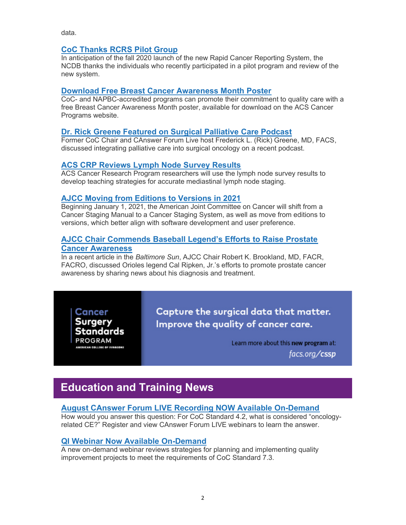data.

### CoC Thanks RCRS Pilot Group

In anticipation of the fall 2020 launch of the new Rapid Cancer Reporting System, the NCDB thanks the individuals who recently participated in a pilot program and review of the new system.

### Download Free Breast Cancer Awareness Month Poster

CoC- and NAPBC-accredited programs can promote their commitment to quality care with a free Breast Cancer Awareness Month poster, available for download on the ACS Cancer Programs website.

#### Dr. Rick Greene Featured on Surgical Palliative Care Podcast

Former CoC Chair and CAnswer Forum Live host Frederick L. (Rick) Greene, MD, FACS, discussed integrating palliative care into surgical oncology on a recent podcast.

#### ACS CRP Reviews Lymph Node Survey Results

ACS Cancer Research Program researchers will use the lymph node survey results to develop teaching strategies for accurate mediastinal lymph node staging.

#### AJCC Moving from Editions to Versions in 2021

Beginning January 1, 2021, the American Joint Committee on Cancer will shift from a Cancer Staging Manual to a Cancer Staging System, as well as move from editions to versions, which better align with software development and user preference.

### AJCC Chair Commends Baseball Legend's Efforts to Raise Prostate Cancer Awareness

In a recent article in the Baltimore Sun, AJCC Chair Robert K, Brookland, MD, FACR, FACRO, discussed Orioles legend Cal Ripken, Jr.'s efforts to promote prostate cancer awareness by sharing news about his diagnosis and treatment.

Cancer Surgery Standards **PROGRAM MERICAN COLLEGE OF SURGEONS** 

Capture the surgical data that matter. Improve the quality of cancer care.

Learn more about this new program at:

facs.org**/cssp** 

### Education and Training News

#### August CAnswer Forum LIVE Recording NOW Available On-Demand

How would you answer this question: For CoC Standard 4.2, what is considered "oncologyrelated CE?" Register and view CAnswer Forum LIVE webinars to learn the answer.

#### QI Webinar Now Available On-Demand

A new on-demand webinar reviews strategies for planning and implementing quality improvement projects to meet the requirements of CoC Standard 7.3.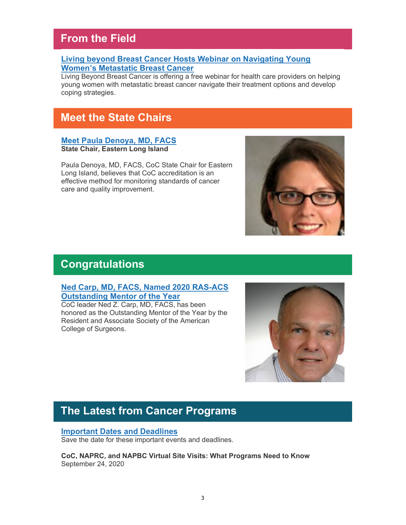### From the Field

### Living beyond Breast Cancer Hosts Webinar on Navigating Young Women's Metastatic Breast Cancer

Living Beyond Breast Cancer is offering a free webinar for health care providers on helping young women with metastatic breast cancer navigate their treatment options and develop coping strategies.

### Meet the State Chairs

#### Meet Paula Denoya, MD, FACS State Chair, Eastern Long Island

Paula Denoya, MD, FACS, CoC State Chair for Eastern Long Island, believes that CoC accreditation is an effective method for monitoring standards of cancer care and quality improvement.



### **Congratulations**

#### Ned Carp, MD, FACS, Named 2020 RAS-ACS Outstanding Mentor of the Year

CoC leader Ned Z. Carp, MD, FACS, has been honored as the Outstanding Mentor of the Year by the Resident and Associate Society of the American College of Surgeons.



### The Latest from Cancer Programs

#### Important Dates and Deadlines

Save the date for these important events and deadlines.

CoC, NAPRC, and NAPBC Virtual Site Visits: What Programs Need to Know September 24, 2020